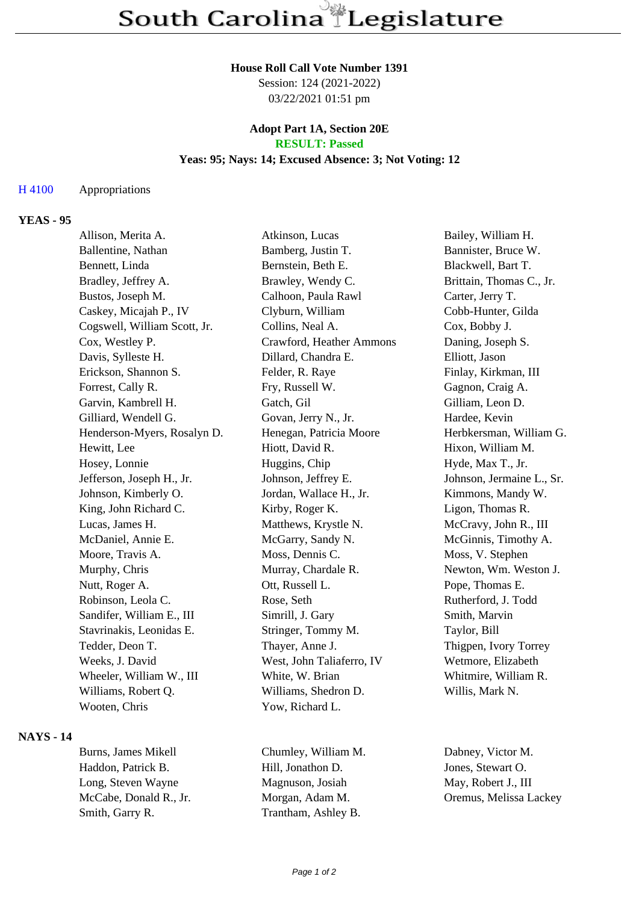#### **House Roll Call Vote Number 1391**

Session: 124 (2021-2022) 03/22/2021 01:51 pm

### **Adopt Part 1A, Section 20E RESULT: Passed**

#### **Yeas: 95; Nays: 14; Excused Absence: 3; Not Voting: 12**

#### H 4100 Appropriations

## **YEAS - 95**

| Allison, Merita A.           | Atkinson, Lucas           | Bailey, William H.        |
|------------------------------|---------------------------|---------------------------|
| Ballentine, Nathan           | Bamberg, Justin T.        | Bannister, Bruce W.       |
| Bennett, Linda               | Bernstein, Beth E.        | Blackwell, Bart T.        |
| Bradley, Jeffrey A.          | Brawley, Wendy C.         | Brittain, Thomas C., Jr.  |
| Bustos, Joseph M.            | Calhoon, Paula Rawl       | Carter, Jerry T.          |
| Caskey, Micajah P., IV       | Clyburn, William          | Cobb-Hunter, Gilda        |
| Cogswell, William Scott, Jr. | Collins, Neal A.          | Cox, Bobby J.             |
| Cox, Westley P.              | Crawford, Heather Ammons  | Daning, Joseph S.         |
| Davis, Sylleste H.           | Dillard, Chandra E.       | Elliott, Jason            |
| Erickson, Shannon S.         | Felder, R. Raye           | Finlay, Kirkman, III      |
| Forrest, Cally R.            | Fry, Russell W.           | Gagnon, Craig A.          |
| Garvin, Kambrell H.          | Gatch, Gil                | Gilliam, Leon D.          |
| Gilliard, Wendell G.         | Govan, Jerry N., Jr.      | Hardee, Kevin             |
| Henderson-Myers, Rosalyn D.  | Henegan, Patricia Moore   | Herbkersman, William G.   |
| Hewitt, Lee                  | Hiott, David R.           | Hixon, William M.         |
| Hosey, Lonnie                | Huggins, Chip             | Hyde, Max T., Jr.         |
| Jefferson, Joseph H., Jr.    | Johnson, Jeffrey E.       | Johnson, Jermaine L., Sr. |
| Johnson, Kimberly O.         | Jordan, Wallace H., Jr.   | Kimmons, Mandy W.         |
| King, John Richard C.        | Kirby, Roger K.           | Ligon, Thomas R.          |
| Lucas, James H.              | Matthews, Krystle N.      | McCravy, John R., III     |
| McDaniel, Annie E.           | McGarry, Sandy N.         | McGinnis, Timothy A.      |
| Moore, Travis A.             | Moss, Dennis C.           | Moss, V. Stephen          |
| Murphy, Chris                | Murray, Chardale R.       | Newton, Wm. Weston J.     |
| Nutt, Roger A.               | Ott, Russell L.           | Pope, Thomas E.           |
| Robinson, Leola C.           | Rose, Seth                | Rutherford, J. Todd       |
| Sandifer, William E., III    | Simrill, J. Gary          | Smith, Marvin             |
| Stavrinakis, Leonidas E.     | Stringer, Tommy M.        | Taylor, Bill              |
| Tedder, Deon T.              | Thayer, Anne J.           | Thigpen, Ivory Torrey     |
| Weeks, J. David              | West, John Taliaferro, IV | Wetmore, Elizabeth        |
| Wheeler, William W., III     | White, W. Brian           | Whitmire, William R.      |
| Williams, Robert Q.          | Williams, Shedron D.      | Willis, Mark N.           |
| Wooten, Chris                | Yow, Richard L.           |                           |
|                              |                           |                           |

### **NAYS - 14**

Haddon, Patrick B. Hill, Jonathon D. Jones, Stewart O. Long, Steven Wayne Magnuson, Josiah May, Robert J., III McCabe, Donald R., Jr. Morgan, Adam M. Oremus, Melissa Lackey Smith, Garry R. Trantham, Ashley B.

Burns, James Mikell Chumley, William M. Dabney, Victor M.